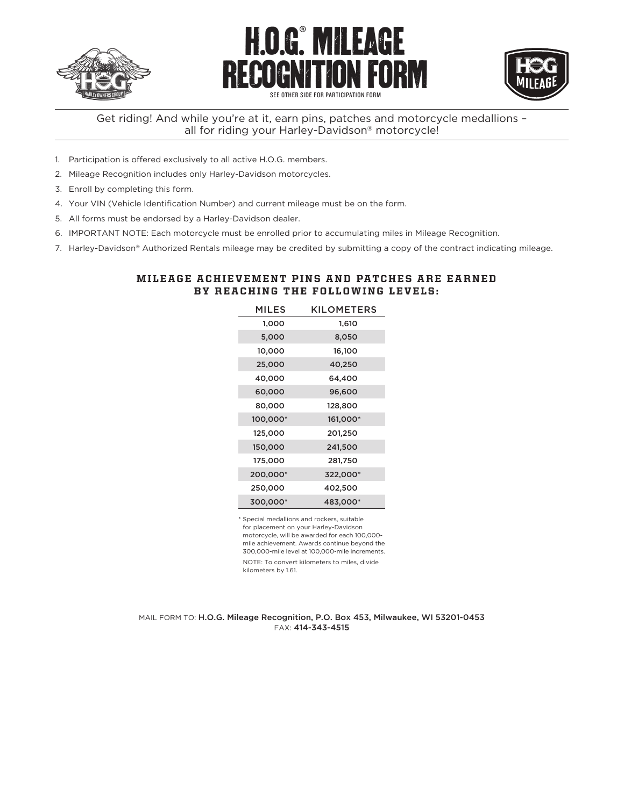





SEE OTHER SIDE FOR PARTICIPATION FOR

## Get riding! And while you're at it, earn pins, patches and motorcycle medallions – all for riding your Harley-Davidson® motorcycle!

- 1. Participation is offered exclusively to all active H.O.G. members.
- 2. Mileage Recognition includes only Harley-Davidson motorcycles.
- 3. Enroll by completing this form.
- 4. Your VIN (Vehicle Identification Number) and current mileage must be on the form.
- 5. All forms must be endorsed by a Harley-Davidson dealer.
- 6. IMPORTANT NOTE: Each motorcycle must be enrolled prior to accumulating miles in Mileage Recognition.
- 7. Harley-Davidson® Authorized Rentals mileage may be credited by submitting a copy of the contract indicating mileage.

## MILEAGE ACHIEVEMENT PINS AND PATCHES ARE EARNED BY REACHING THE FOLLOWING LEVELS:

| <b>MILES</b> | <b>KILOMETERS</b> |
|--------------|-------------------|
| 1,000        | 1,610             |
| 5,000        | 8,050             |
| 10,000       | 16,100            |
| 25,000       | 40,250            |
| 40,000       | 64,400            |
| 60,000       | 96,600            |
| 80,000       | 128,800           |
| 100,000*     | 161,000*          |
| 125,000      | 201,250           |
| 150,000      | 241,500           |
| 175,000      | 281,750           |
| 200,000*     | 322,000*          |
| 250,000      | 402,500           |
| 300,000*     | 483,000*          |

\* Special medallions and rockers, suitable for placement on your Harley-Davidson motorcycle, will be awarded for each 100,000 mile achievement. Awards continue beyond the 300,000-mile level at 100,000-mile increments. NOTE: To convert kilometers to miles, divide kilometers by 1.61.

MAIL FORM TO: H.O.G. Mileage Recognition, P.O. Box 453, Milwaukee, WI 53201-0453 FAX: 414-343-4515